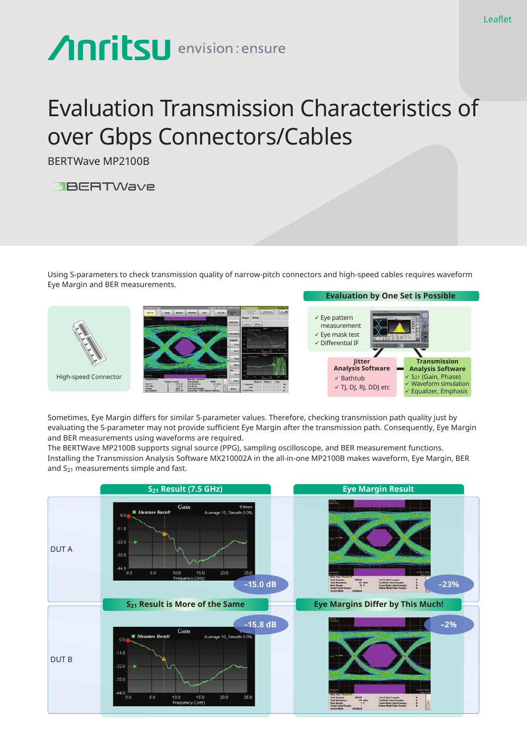## **Anritsu** envision: ensure

## Evaluation Transmission Characteristics of over Gbps Connectors/Cables

BERTWave MP2100B



Using S-parameters to check transmission quality of narrow-pitch connectors and high-speed cables requires waveform Eye Margin and BER measurements.



Sometimes, Eye Margin differs for similar S-parameter values. Therefore, checking transmission path quality just by evaluating the S-parameter may not provide sufficient Eye Margin after the transmission path. Consequently, Eye Margin and BER measurements using waveforms are required.

The BERTWave MP2100B supports signal source (PPG), sampling oscilloscope, and BER measurement functions. Installing the Transmission Analysis Software MX210002A in the all-in-one MP2100B makes waveform, Eye Margin, BER and  $S_{21}$  measurements simple and fast.